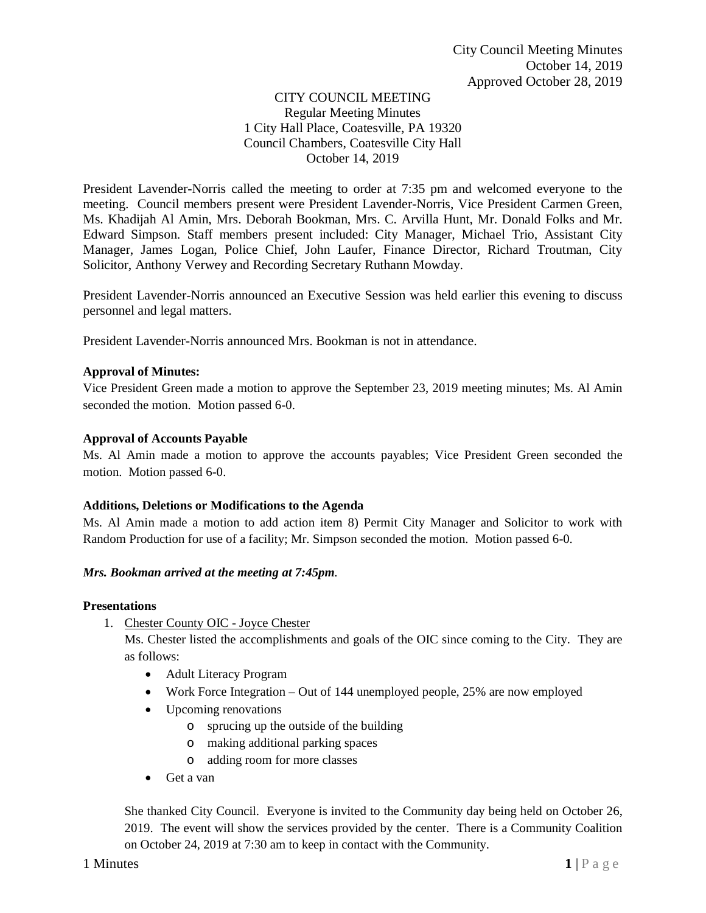### CITY COUNCIL MEETING Regular Meeting Minutes 1 City Hall Place, Coatesville, PA 19320 Council Chambers, Coatesville City Hall October 14, 2019

President Lavender-Norris called the meeting to order at 7:35 pm and welcomed everyone to the meeting. Council members present were President Lavender-Norris, Vice President Carmen Green, Ms. Khadijah Al Amin, Mrs. Deborah Bookman, Mrs. C. Arvilla Hunt, Mr. Donald Folks and Mr. Edward Simpson. Staff members present included: City Manager, Michael Trio, Assistant City Manager, James Logan, Police Chief, John Laufer, Finance Director, Richard Troutman, City Solicitor, Anthony Verwey and Recording Secretary Ruthann Mowday.

President Lavender-Norris announced an Executive Session was held earlier this evening to discuss personnel and legal matters.

President Lavender-Norris announced Mrs. Bookman is not in attendance.

### **Approval of Minutes:**

Vice President Green made a motion to approve the September 23, 2019 meeting minutes; Ms. Al Amin seconded the motion. Motion passed 6-0.

#### **Approval of Accounts Payable**

Ms. Al Amin made a motion to approve the accounts payables; Vice President Green seconded the motion. Motion passed 6-0.

#### **Additions, Deletions or Modifications to the Agenda**

Ms. Al Amin made a motion to add action item 8) Permit City Manager and Solicitor to work with Random Production for use of a facility; Mr. Simpson seconded the motion. Motion passed 6-0.

#### *Mrs. Bookman arrived at the meeting at 7:45pm.*

#### **Presentations**

1. Chester County OIC - Joyce Chester

Ms. Chester listed the accomplishments and goals of the OIC since coming to the City. They are as follows:

- Adult Literacy Program
- Work Force Integration Out of 144 unemployed people, 25% are now employed
- Upcoming renovations
	- o sprucing up the outside of the building
	- o making additional parking spaces
	- o adding room for more classes
- Get a van

She thanked City Council. Everyone is invited to the Community day being held on October 26, 2019. The event will show the services provided by the center. There is a Community Coalition on October 24, 2019 at 7:30 am to keep in contact with the Community.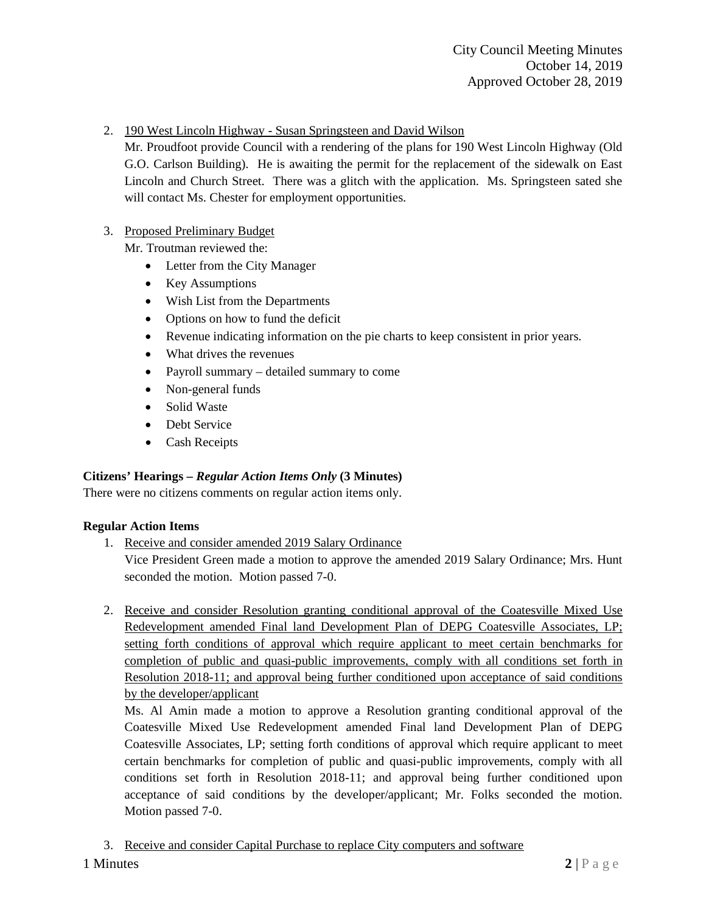# 2. 190 West Lincoln Highway - Susan Springsteen and David Wilson

Mr. Proudfoot provide Council with a rendering of the plans for 190 West Lincoln Highway (Old G.O. Carlson Building). He is awaiting the permit for the replacement of the sidewalk on East Lincoln and Church Street. There was a glitch with the application. Ms. Springsteen sated she will contact Ms. Chester for employment opportunities.

# 3. Proposed Preliminary Budget

Mr. Troutman reviewed the:

- Letter from the City Manager
- Key Assumptions
- Wish List from the Departments
- Options on how to fund the deficit
- Revenue indicating information on the pie charts to keep consistent in prior years.
- What drives the revenues
- Payroll summary detailed summary to come
- Non-general funds
- Solid Waste
- Debt Service
- Cash Receipts

## **Citizens' Hearings –** *Regular Action Items Only* **(3 Minutes)**

There were no citizens comments on regular action items only.

## **Regular Action Items**

1. Receive and consider amended 2019 Salary Ordinance

Vice President Green made a motion to approve the amended 2019 Salary Ordinance; Mrs. Hunt seconded the motion. Motion passed 7-0.

2. Receive and consider Resolution granting conditional approval of the Coatesville Mixed Use Redevelopment amended Final land Development Plan of DEPG Coatesville Associates, LP; setting forth conditions of approval which require applicant to meet certain benchmarks for completion of public and quasi-public improvements, comply with all conditions set forth in Resolution 2018-11; and approval being further conditioned upon acceptance of said conditions by the developer/applicant

Ms. Al Amin made a motion to approve a Resolution granting conditional approval of the Coatesville Mixed Use Redevelopment amended Final land Development Plan of DEPG Coatesville Associates, LP; setting forth conditions of approval which require applicant to meet certain benchmarks for completion of public and quasi-public improvements, comply with all conditions set forth in Resolution 2018-11; and approval being further conditioned upon acceptance of said conditions by the developer/applicant; Mr. Folks seconded the motion. Motion passed 7-0.

3. Receive and consider Capital Purchase to replace City computers and software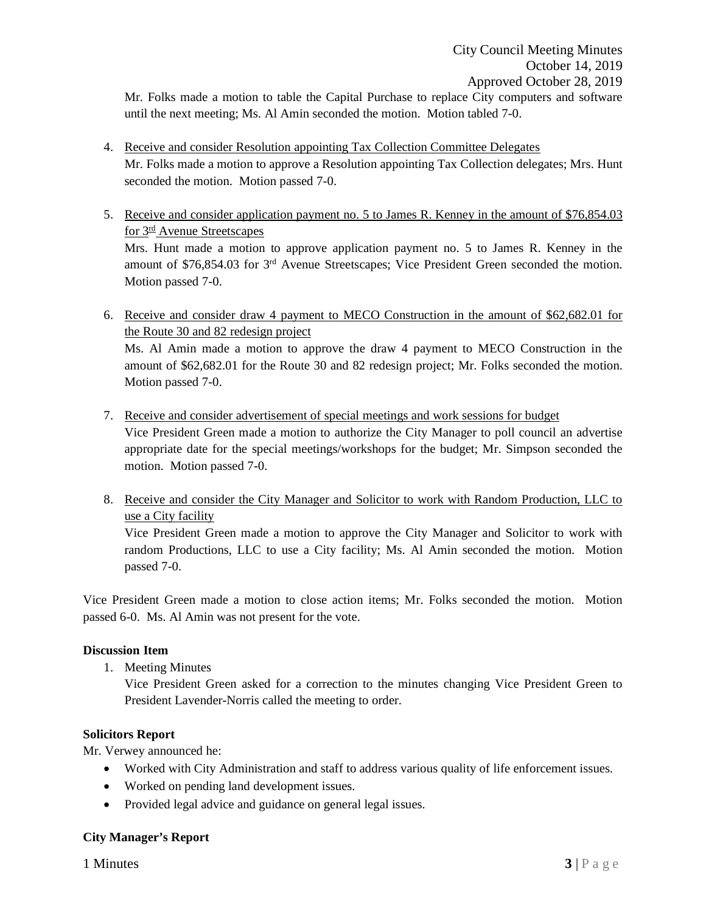Mr. Folks made a motion to table the Capital Purchase to replace City computers and software until the next meeting; Ms. Al Amin seconded the motion. Motion tabled 7-0.

- 4. Receive and consider Resolution appointing Tax Collection Committee Delegates Mr. Folks made a motion to approve a Resolution appointing Tax Collection delegates; Mrs. Hunt seconded the motion. Motion passed 7-0.
- 5. Receive and consider application payment no. 5 to James R. Kenney in the amount of \$76,854.03 for 3rd Avenue Streetscapes Mrs. Hunt made a motion to approve application payment no. 5 to James R. Kenney in the amount of \$76,854.03 for 3rd Avenue Streetscapes; Vice President Green seconded the motion. Motion passed 7-0.
- 6. Receive and consider draw 4 payment to MECO Construction in the amount of \$62,682.01 for the Route 30 and 82 redesign project Ms. Al Amin made a motion to approve the draw 4 payment to MECO Construction in the amount of \$62,682.01 for the Route 30 and 82 redesign project; Mr. Folks seconded the motion. Motion passed 7-0.
- 7. Receive and consider advertisement of special meetings and work sessions for budget Vice President Green made a motion to authorize the City Manager to poll council an advertise appropriate date for the special meetings/workshops for the budget; Mr. Simpson seconded the motion. Motion passed 7-0.
- 8. Receive and consider the City Manager and Solicitor to work with Random Production, LLC to use a City facility

Vice President Green made a motion to approve the City Manager and Solicitor to work with random Productions, LLC to use a City facility; Ms. Al Amin seconded the motion. Motion passed 7-0.

Vice President Green made a motion to close action items; Mr. Folks seconded the motion. Motion passed 6-0. Ms. Al Amin was not present for the vote.

## **Discussion Item**

1. Meeting Minutes

Vice President Green asked for a correction to the minutes changing Vice President Green to President Lavender-Norris called the meeting to order.

### **Solicitors Report**

Mr. Verwey announced he:

- Worked with City Administration and staff to address various quality of life enforcement issues.
- Worked on pending land development issues.
- Provided legal advice and guidance on general legal issues.

## **City Manager's Report**

**1 Minutes 3** | P a g e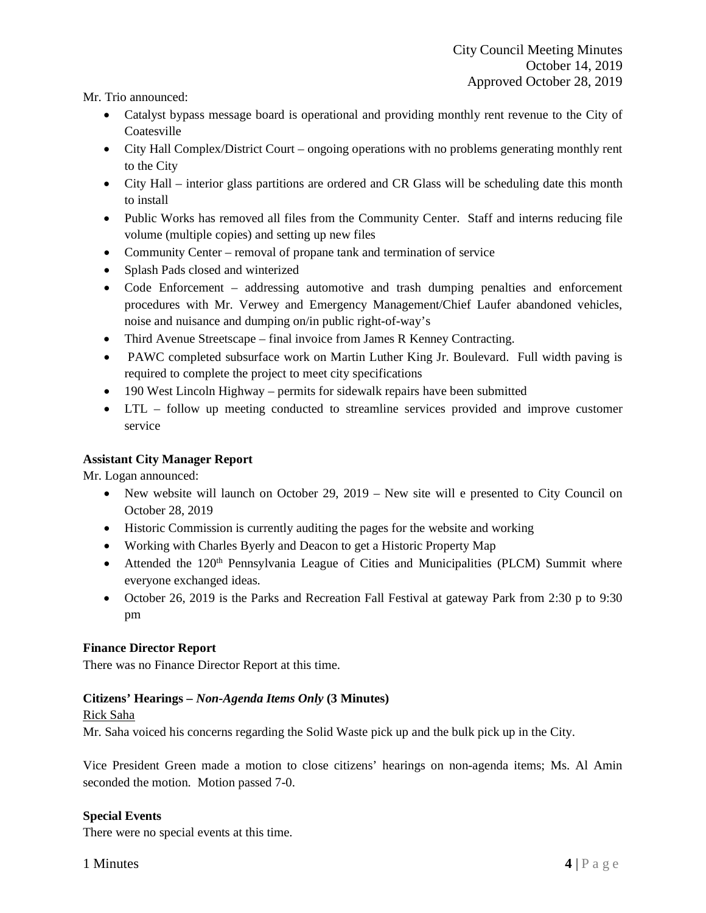Mr. Trio announced:

- Catalyst bypass message board is operational and providing monthly rent revenue to the City of Coatesville
- City Hall Complex/District Court ongoing operations with no problems generating monthly rent to the City
- City Hall interior glass partitions are ordered and CR Glass will be scheduling date this month to install
- Public Works has removed all files from the Community Center. Staff and interns reducing file volume (multiple copies) and setting up new files
- Community Center removal of propane tank and termination of service
- Splash Pads closed and winterized
- Code Enforcement addressing automotive and trash dumping penalties and enforcement procedures with Mr. Verwey and Emergency Management/Chief Laufer abandoned vehicles, noise and nuisance and dumping on/in public right-of-way's
- Third Avenue Streetscape final invoice from James R Kenney Contracting.
- PAWC completed subsurface work on Martin Luther King Jr. Boulevard. Full width paving is required to complete the project to meet city specifications
- 190 West Lincoln Highway permits for sidewalk repairs have been submitted
- LTL follow up meeting conducted to streamline services provided and improve customer service

## **Assistant City Manager Report**

Mr. Logan announced:

- New website will launch on October 29, 2019 New site will e presented to City Council on October 28, 2019
- Historic Commission is currently auditing the pages for the website and working
- Working with Charles Byerly and Deacon to get a Historic Property Map
- Attended the 120<sup>th</sup> Pennsylvania League of Cities and Municipalities (PLCM) Summit where everyone exchanged ideas.
- October 26, 2019 is the Parks and Recreation Fall Festival at gateway Park from 2:30 p to 9:30 pm

## **Finance Director Report**

There was no Finance Director Report at this time.

## **Citizens' Hearings –** *Non-Agenda Items Only* **(3 Minutes)**

### Rick Saha

Mr. Saha voiced his concerns regarding the Solid Waste pick up and the bulk pick up in the City.

Vice President Green made a motion to close citizens' hearings on non-agenda items; Ms. Al Amin seconded the motion. Motion passed 7-0.

### **Special Events**

There were no special events at this time.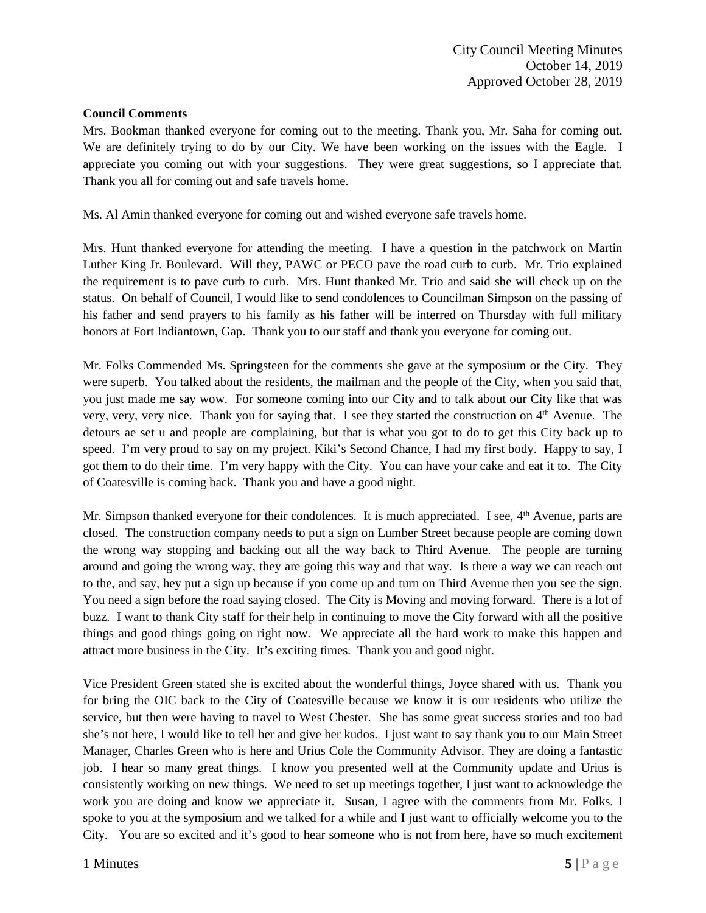### **Council Comments**

Mrs. Bookman thanked everyone for coming out to the meeting. Thank you, Mr. Saha for coming out. We are definitely trying to do by our City. We have been working on the issues with the Eagle. I appreciate you coming out with your suggestions. They were great suggestions, so I appreciate that. Thank you all for coming out and safe travels home.

Ms. Al Amin thanked everyone for coming out and wished everyone safe travels home.

Mrs. Hunt thanked everyone for attending the meeting. I have a question in the patchwork on Martin Luther King Jr. Boulevard. Will they, PAWC or PECO pave the road curb to curb. Mr. Trio explained the requirement is to pave curb to curb. Mrs. Hunt thanked Mr. Trio and said she will check up on the status. On behalf of Council, I would like to send condolences to Councilman Simpson on the passing of his father and send prayers to his family as his father will be interred on Thursday with full military honors at Fort Indiantown, Gap. Thank you to our staff and thank you everyone for coming out.

Mr. Folks Commended Ms. Springsteen for the comments she gave at the symposium or the City. They were superb. You talked about the residents, the mailman and the people of the City, when you said that, you just made me say wow. For someone coming into our City and to talk about our City like that was very, very, very nice. Thank you for saying that. I see they started the construction on 4th Avenue. The detours ae set u and people are complaining, but that is what you got to do to get this City back up to speed. I'm very proud to say on my project. Kiki's Second Chance, I had my first body. Happy to say, I got them to do their time. I'm very happy with the City. You can have your cake and eat it to. The City of Coatesville is coming back. Thank you and have a good night.

Mr. Simpson thanked everyone for their condolences. It is much appreciated. I see,  $4<sup>th</sup>$  Avenue, parts are closed. The construction company needs to put a sign on Lumber Street because people are coming down the wrong way stopping and backing out all the way back to Third Avenue. The people are turning around and going the wrong way, they are going this way and that way. Is there a way we can reach out to the, and say, hey put a sign up because if you come up and turn on Third Avenue then you see the sign. You need a sign before the road saying closed. The City is Moving and moving forward. There is a lot of buzz. I want to thank City staff for their help in continuing to move the City forward with all the positive things and good things going on right now. We appreciate all the hard work to make this happen and attract more business in the City. It's exciting times. Thank you and good night.

Vice President Green stated she is excited about the wonderful things, Joyce shared with us. Thank you for bring the OIC back to the City of Coatesville because we know it is our residents who utilize the service, but then were having to travel to West Chester. She has some great success stories and too bad she's not here, I would like to tell her and give her kudos. I just want to say thank you to our Main Street Manager, Charles Green who is here and Urius Cole the Community Advisor. They are doing a fantastic job. I hear so many great things. I know you presented well at the Community update and Urius is consistently working on new things. We need to set up meetings together, I just want to acknowledge the work you are doing and know we appreciate it. Susan, I agree with the comments from Mr. Folks. I spoke to you at the symposium and we talked for a while and I just want to officially welcome you to the City. You are so excited and it's good to hear someone who is not from here, have so much excitement